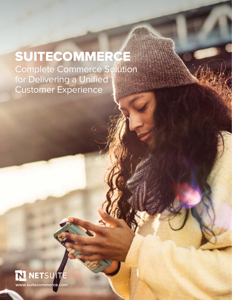#### Complete Commerce Solution for Delivering a Unified Customer Experience SUITECOMMERCE

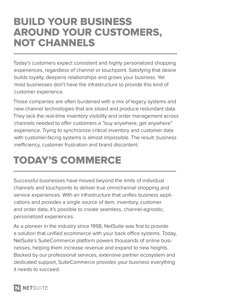#### BUILD YOUR BUSINESS AROUND YOUR CUSTOMERS, NOT CHANNELS

Today's customers expect consistent and highly personalized shopping experiences, regardless of channel or touchpoint. Satisfying that desire builds loyalty, deepens relationships and grows your business. Yet most businesses don't have the infrastructure to provide this kind of customer experience.

Those companies are often burdened with a mix of legacy systems and new channel technologies that are siloed and produce redundant data. They lack the real-time inventory visibility and order management across channels needed to offer customers a "buy anywhere, get anywhere" experience. Trying to synchronize critical inventory and customer data with customer-facing systems is almost impossible. The result: business inefficiency, customer frustration and brand discontent.

## TODAY'S COMMERCE

Successful businesses have moved beyond the limits of individual channels and touchpoints to deliver true omnichannel shopping and service experiences. With an infrastructure that unifies business applications and provides a single source of item, inventory, customer and order data, it's possible to create seamless, channel-agnostic, personalized experiences.

As a pioneer in the industry since 1998, NetSuite was first to provide a solution that unified ecommerce with your back office systems. Today, NetSuite's SuiteCommerce platform powers thousands of online businesses, helping them increase revenue and expand to new heights. Backed by our professional services, extensive partner ecosystem and dedicated support, SuiteCommerce provides your business everything it needs to succeed.

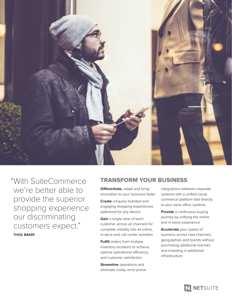

"With SuiteCommerce TRANSFORM YOUR BUSINESS we're better able to provide the superior shopping experience our discriminating customers expect." **THOS. BAKER**

**Differentiate,** adapt and bring innovation to your business faster

**Create** uniquely branded and engaging shopping experiences optimized for any device

**Gain** a single view of each customer across all channels for complete visibility into all online, in-store and call center activities

**Fulfill** orders from multiple inventory locations to achieve optimal operational efficiency and customer satisfaction

**Streamline** operations and eliminate costly, error-prone integrations between separate systems with a unified cloud commerce platform tied directly to your back office systems

**Provide** a continuous buying journey by unifying the online and in-store experience

**Accelerate** your speed of business across new channels, geographies and brands without purchasing additional licenses and investing in additional infrastructure

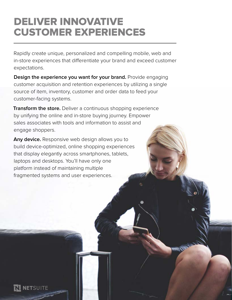#### DELIVER INNOVATIVE CUSTOMER EXPERIENCES

Rapidly create unique, personalized and compelling mobile, web and in-store experiences that differentiate your brand and exceed customer expectations.

**Design the experience you want for your brand.** Provide engaging customer acquisition and retention experiences by utilizing a single source of item, inventory, customer and order data to feed your customer-facing systems.

**Transform the store.** Deliver a continuous shopping experience by unifying the online and in-store buying journey. Empower sales associates with tools and information to assist and engage shoppers.

**Any device.** Responsive web design allows you to build device-optimized, online shopping experiences that display elegantly across smartphones, tablets, laptops and desktops. You'll have only one platform instead of maintaining multiple fragmented systems and user experiences.

**NETSUITE**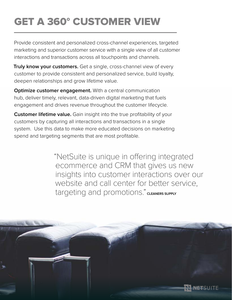# GET A 360° CUSTOMER VIEW

Provide consistent and personalized cross-channel experiences, targeted marketing and superior customer service with a single view of all customer interactions and transactions across all touchpoints and channels.

**Truly know your customers.** Get a single, cross-channel view of every customer to provide consistent and personalized service, build loyalty, deepen relationships and grow lifetime value.

**Optimize customer engagement.** With a central communication hub, deliver timely, relevant, data-driven digital marketing that fuels engagement and drives revenue throughout the customer lifecycle.

**Customer lifetime value.** Gain insight into the true profitability of your customers by capturing all interactions and transactions in a single system. Use this data to make more educated decisions on marketing spend and targeting segments that are most profitable.

> "NetSuite is unique in offering integrated ecommerce and CRM that gives us new insights into customer interactions over our website and call center for better service, targeting and promotions." CLEANERS SUPPLY

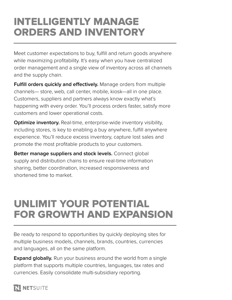### INTELLIGENTLY MANAGE ORDERS AND INVENTORY

Meet customer expectations to buy, fulfill and return goods anywhere while maximizing profitability. It's easy when you have centralized order management and a single view of inventory across all channels and the supply chain.

**Fulfill orders quickly and effectively.** Manage orders from multiple channels— store, web, call center, mobile, kiosk—all in one place. Customers, suppliers and partners always know exactly what's happening with every order. You'll process orders faster, satisfy more customers and lower operational costs.

**Optimize inventory.** Real-time, enterprise-wide inventory visibility, including stores, is key to enabling a buy anywhere, fulfill anywhere experience. You'll reduce excess inventory, capture lost sales and promote the most profitable products to your customers.

**Better manage suppliers and stock levels.** Connect global supply and distribution chains to ensure real-time information sharing, better coordination, increased responsiveness and shortened time to market.

### UNLIMIT YOUR POTENTIAL FOR GROWTH AND EXPANSION

Be ready to respond to opportunities by quickly deploying sites for multiple business models, channels, brands, countries, currencies and languages, all on the same platform.

**Expand globally.** Run your business around the world from a single platform that supports multiple countries, languages, tax rates and currencies. Easily consolidate multi-subsidiary reporting.

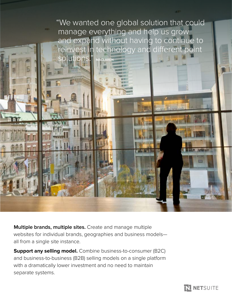

**Multiple brands, multiple sites.** Create and manage multiple websites for individual brands, geographies and business models all from a single site instance.

**Support any selling model.** Combine business-to-consumer (B2C) and business-to-business (B2B) selling models on a single platform with a dramatically lower investment and no need to maintain separate systems.

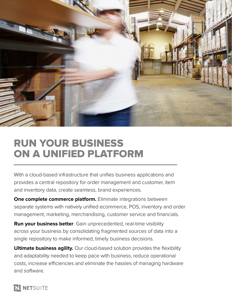

#### RUN YOUR BUSINESS ON A UNIFIED PLATFORM

With a cloud-based infrastructure that unifies business applications and provides a central repository for order management and customer, item and inventory data, create seamless, brand experiences.

**One complete commerce platform.** Eliminate integrations between separate systems with natively unified ecommerce, POS, inventory and order management, marketing, merchandising, customer service and financials.

**Run your business better**. Gain unprecedented, real-time visibility across your business by consolidating fragmented sources of data into a single repository to make informed, timely business decisions.

**Ultimate business agility.** Our cloud-based solution provides the flexibility and adaptability needed to keep pace with business, reduce operational costs, increase efficiencies and eliminate the hassles of managing hardware and software.

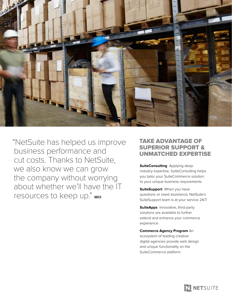

"NetSuite has helped us improve business performance and cut costs. Thanks to NetSuite, we also know we can grow the company without worrying about whether we'll have the IT resources to keep up." **IBEX**

#### TAKE ADVANTAGE OF SUPERIOR SUPPORT & UNMATCHED EXPERTISE

**SuiteConsulting** Applying deep industry expertise, SuiteConsulting helps you tailor your SuiteCommerce solution to your unique business requirements.

**SuiteSupport** When you have questions or need assistance, NetSuite's SuiteSupport team is at your service 24/7.

**SuiteApps** Innovative, third-party solutions are available to further extend and enhance your commerce experience.

**Commerce Agency Program** An ecosystem of leading creative digital agencies provide web design and unique functionality on the SuiteCommerce platform.